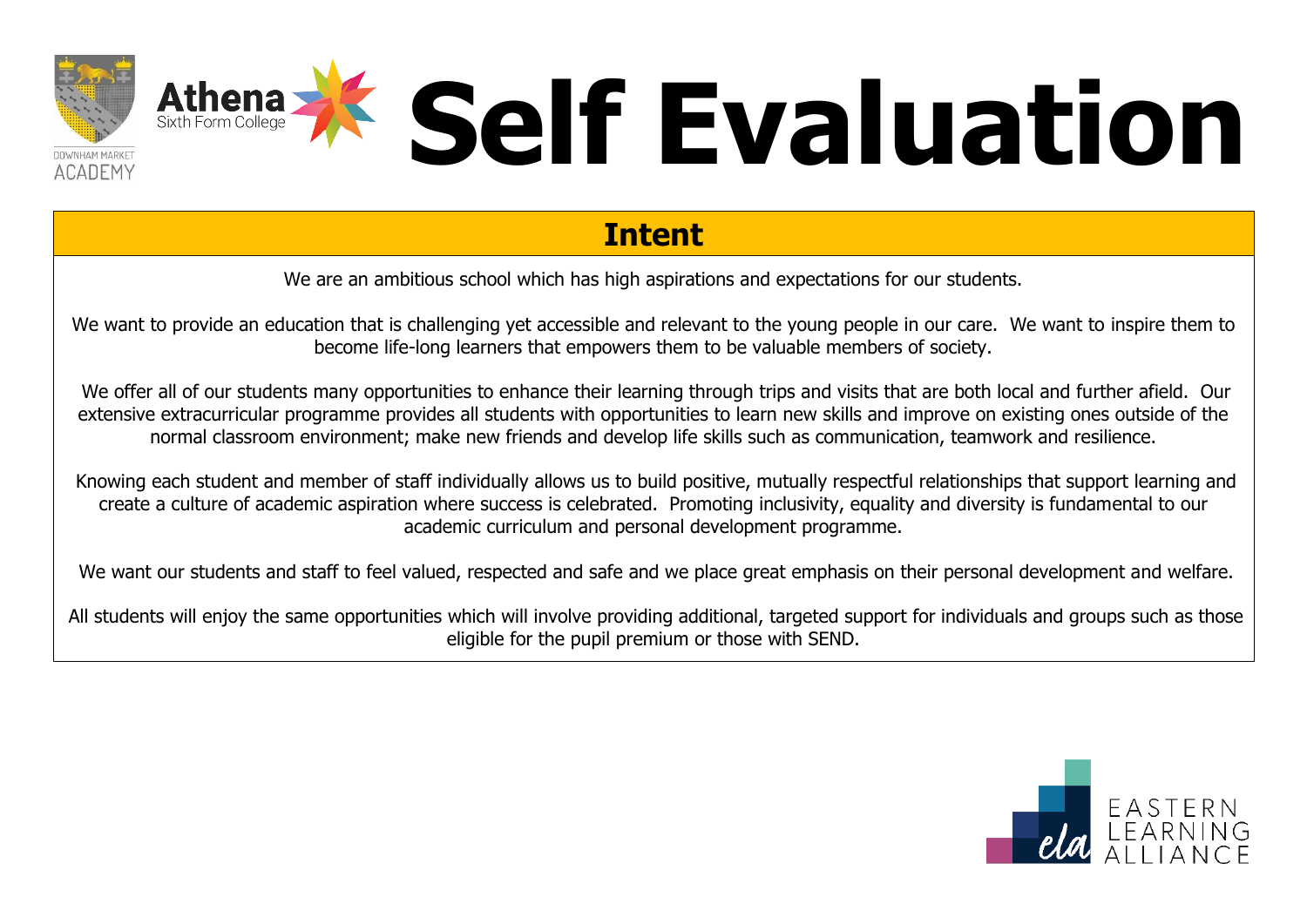

### **Intent**

We are an ambitious school which has high aspirations and expectations for our students.

We want to provide an education that is challenging yet accessible and relevant to the young people in our care. We want to inspire them to become life-long learners that empowers them to be valuable members of society.

We offer all of our students many opportunities to enhance their learning through trips and visits that are both local and further afield. Our extensive extracurricular programme provides all students with opportunities to learn new skills and improve on existing ones outside of the normal classroom environment; make new friends and develop life skills such as communication, teamwork and resilience.

Knowing each student and member of staff individually allows us to build positive, mutually respectful relationships that support learning and create a culture of academic aspiration where success is celebrated. Promoting inclusivity, equality and diversity is fundamental to our academic curriculum and personal development programme.

We want our students and staff to feel valued, respected and safe and we place great emphasis on their personal development and welfare.

All students will enjoy the same opportunities which will involve providing additional, targeted support for individuals and groups such as those eligible for the pupil premium or those with SEND.

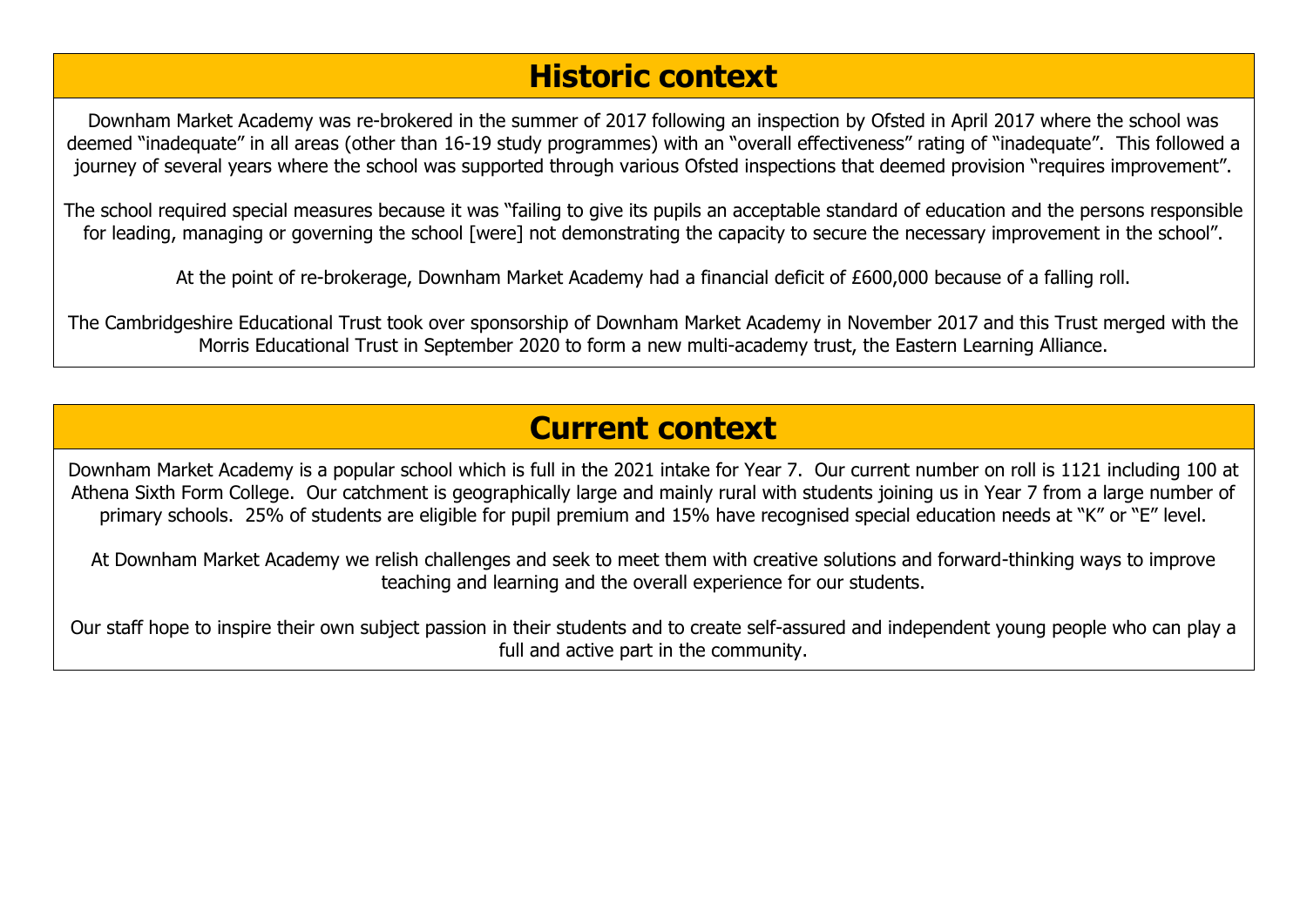### **Historic context**

Downham Market Academy was re-brokered in the summer of 2017 following an inspection by Ofsted in April 2017 where the school was deemed "inadequate" in all areas (other than 16-19 study programmes) with an "overall effectiveness" rating of "inadequate". This followed a journey of several years where the school was supported through various Ofsted inspections that deemed provision "requires improvement".

The school required special measures because it was "failing to give its pupils an acceptable standard of education and the persons responsible for leading, managing or governing the school [were] not demonstrating the capacity to secure the necessary improvement in the school".

At the point of re-brokerage, Downham Market Academy had a financial deficit of £600,000 because of a falling roll.

The Cambridgeshire Educational Trust took over sponsorship of Downham Market Academy in November 2017 and this Trust merged with the Morris Educational Trust in September 2020 to form a new multi-academy trust, the Eastern Learning Alliance.

### **Current context**

Downham Market Academy is a popular school which is full in the 2021 intake for Year 7. Our current number on roll is 1121 including 100 at Athena Sixth Form College. Our catchment is geographically large and mainly rural with students joining us in Year 7 from a large number of primary schools. 25% of students are eligible for pupil premium and 15% have recognised special education needs at "K" or "E" level.

At Downham Market Academy we relish challenges and seek to meet them with creative solutions and forward-thinking ways to improve teaching and learning and the overall experience for our students.

Our staff hope to inspire their own subject passion in their students and to create self-assured and independent young people who can play a full and active part in the community.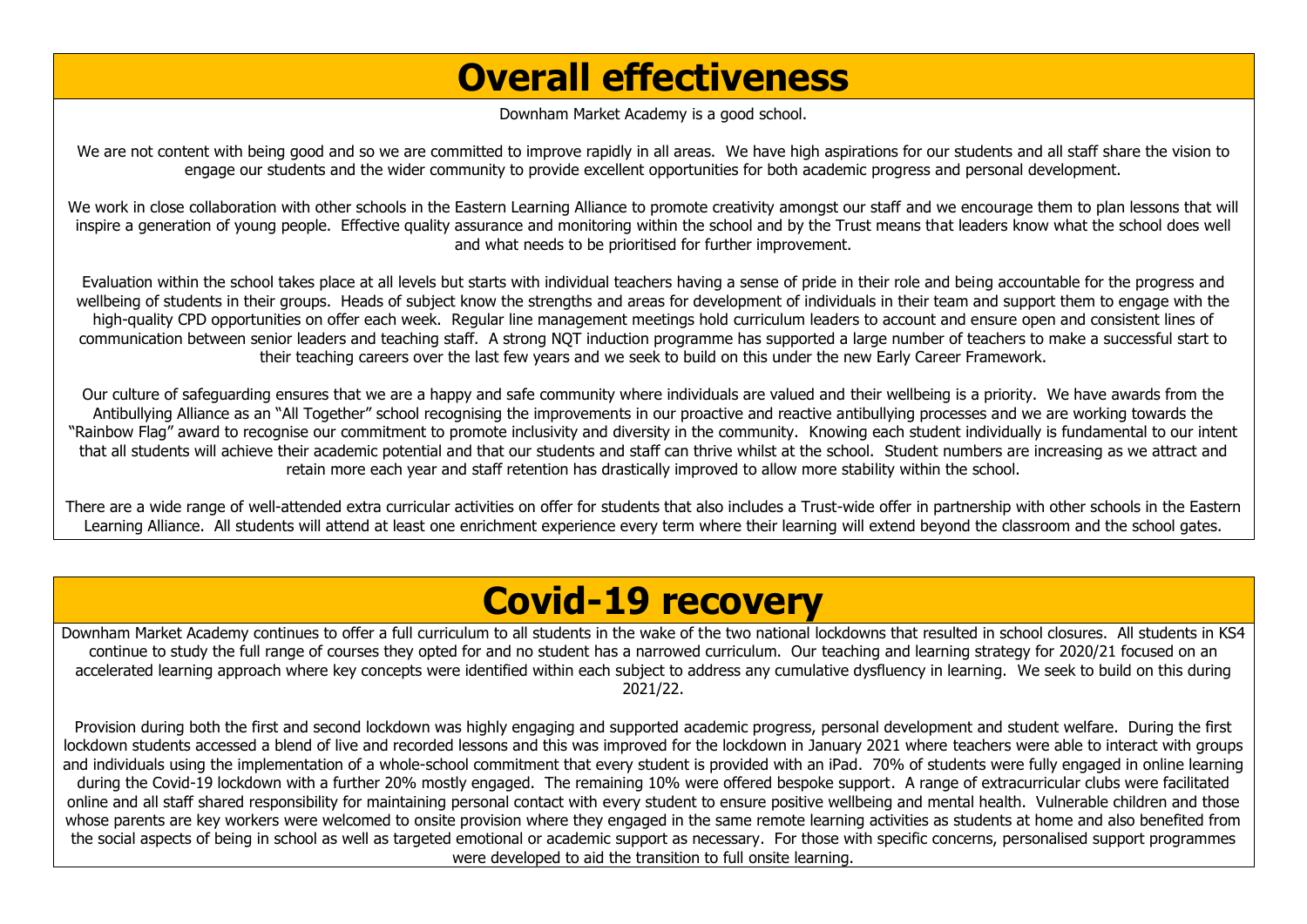## **Overall effectiveness**

Downham Market Academy is a good school.

We are not content with being good and so we are committed to improve rapidly in all areas. We have high aspirations for our students and all staff share the vision to engage our students and the wider community to provide excellent opportunities for both academic progress and personal development.

We work in close collaboration with other schools in the Eastern Learning Alliance to promote creativity amongst our staff and we encourage them to plan lessons that will inspire a generation of young people. Effective quality assurance and monitoring within the school and by the Trust means that leaders know what the school does well and what needs to be prioritised for further improvement.

Evaluation within the school takes place at all levels but starts with individual teachers having a sense of pride in their role and being accountable for the progress and wellbeing of students in their groups. Heads of subject know the strengths and areas for development of individuals in their team and support them to engage with the high-quality CPD opportunities on offer each week. Regular line management meetings hold curriculum leaders to account and ensure open and consistent lines of communication between senior leaders and teaching staff. A strong NQT induction programme has supported a large number of teachers to make a successful start to their teaching careers over the last few years and we seek to build on this under the new Early Career Framework.

Our culture of safeguarding ensures that we are a happy and safe community where individuals are valued and their wellbeing is a priority. We have awards from the Antibullying Alliance as an "All Together" school recognising the improvements in our proactive and reactive antibullying processes and we are working towards the "Rainbow Flag" award to recognise our commitment to promote inclusivity and diversity in the community. Knowing each student individually is fundamental to our intent that all students will achieve their academic potential and that our students and staff can thrive whilst at the school. Student numbers are increasing as we attract and retain more each year and staff retention has drastically improved to allow more stability within the school.

There are a wide range of well-attended extra curricular activities on offer for students that also includes a Trust-wide offer in partnership with other schools in the Eastern Learning Alliance. All students will attend at least one enrichment experience every term where their learning will extend beyond the classroom and the school gates.

### **Covid-19 recovery**

Downham Market Academy continues to offer a full curriculum to all students in the wake of the two national lockdowns that resulted in school closures. All students in KS4 continue to study the full range of courses they opted for and no student has a narrowed curriculum. Our teaching and learning strategy for 2020/21 focused on an accelerated learning approach where key concepts were identified within each subject to address any cumulative dysfluency in learning. We seek to build on this during 2021/22.

Provision during both the first and second lockdown was highly engaging and supported academic progress, personal development and student welfare. During the first lockdown students accessed a blend of live and recorded lessons and this was improved for the lockdown in January 2021 where teachers were able to interact with groups and individuals using the implementation of a whole-school commitment that every student is provided with an iPad. 70% of students were fully engaged in online learning during the Covid-19 lockdown with a further 20% mostly engaged. The remaining 10% were offered bespoke support. A range of extracurricular clubs were facilitated online and all staff shared responsibility for maintaining personal contact with every student to ensure positive wellbeing and mental health. Vulnerable children and those whose parents are key workers were welcomed to onsite provision where they engaged in the same remote learning activities as students at home and also benefited from the social aspects of being in school as well as targeted emotional or academic support as necessary. For those with specific concerns, personalised support programmes were developed to aid the transition to full onsite learning.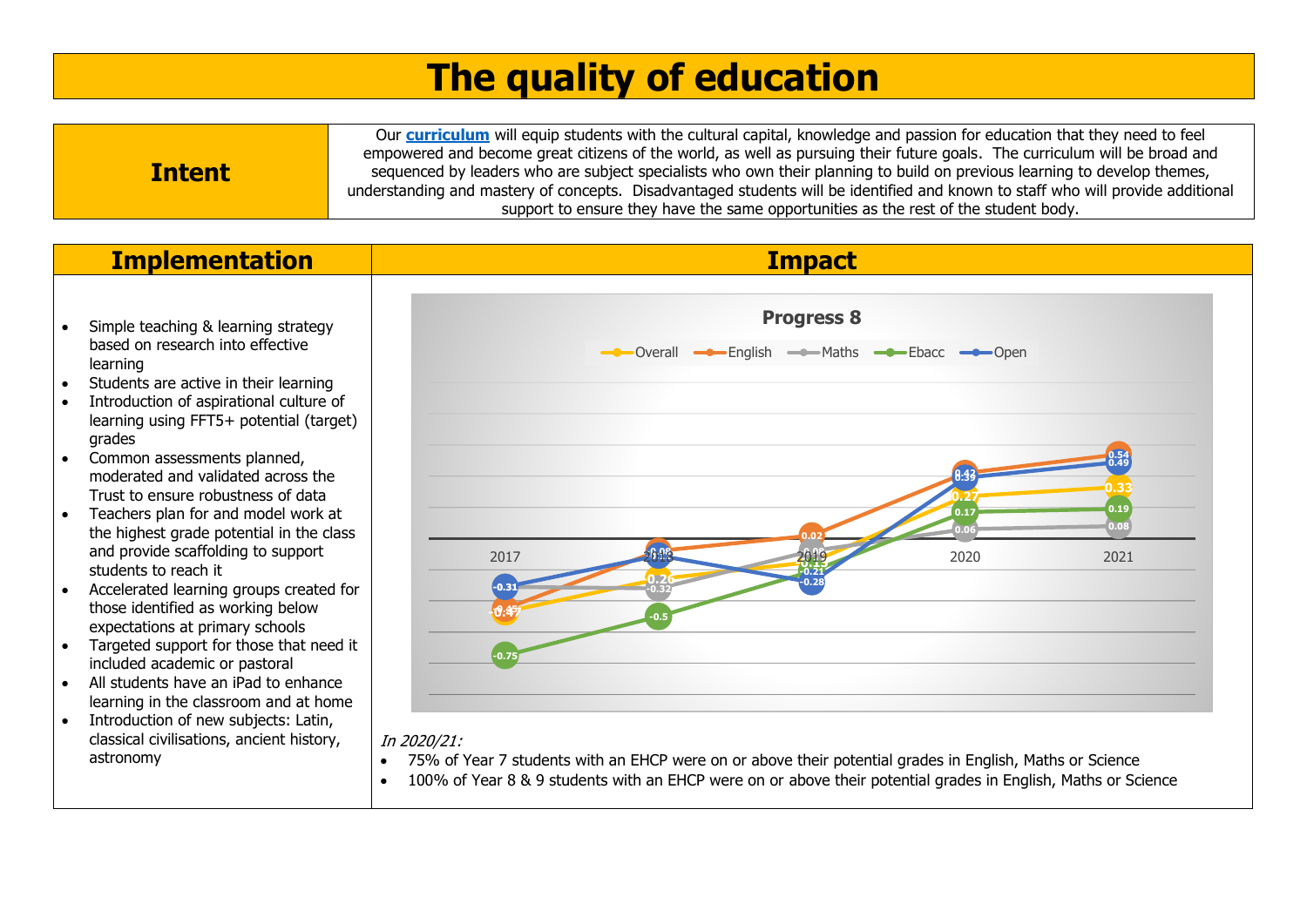# **The quality of education**

|               | Our <b>curriculum</b> will equip students with the cultural capital, knowledge and passion for education that they need to feel |  |  |  |
|---------------|---------------------------------------------------------------------------------------------------------------------------------|--|--|--|
|               | empowered and become great citizens of the world, as well as pursuing their future goals. The curriculum will be broad and      |  |  |  |
| <b>Intent</b> | sequenced by leaders who are subject specialists who own their planning to build on previous learning to develop themes,        |  |  |  |
|               | understanding and mastery of concepts. Disadvantaged students will be identified and known to staff who will provide additional |  |  |  |
|               | support to ensure they have the same opportunities as the rest of the student body.                                             |  |  |  |

- Simple teaching & learning strategy based on research into effective learning
- Students are active in their learning
- Introduction of aspirational culture of learning using FFT5+ potential (target) grades
- Common assessments planned, moderated and validated across the Trust to ensure robustness of data
- Teachers plan for and model work at the highest grade potential in the class and provide scaffolding to support students to reach it
- Accelerated learning groups created for those identified as working below expectations at primary schools
- Targeted support for those that need it included academic or pastoral
- All students have an iPad to enhance learning in the classroom and at home
- Introduction of new subjects: Latin, classical civilisations, ancient history, astronomy



### In 2020/21:

- 75% of Year 7 students with an EHCP were on or above their potential grades in English, Maths or Science
- 100% of Year 8 & 9 students with an EHCP were on or above their potential grades in English, Maths or Science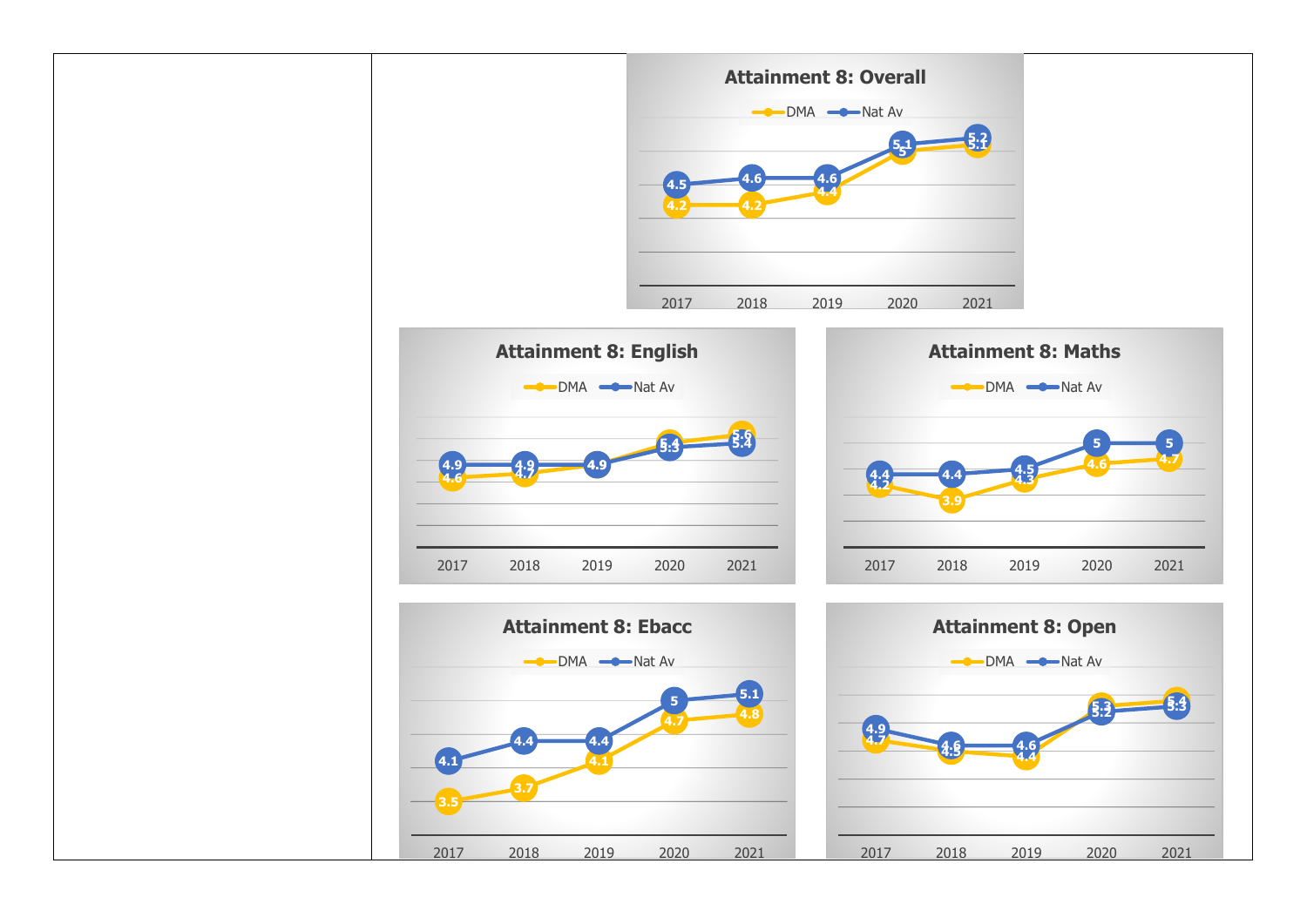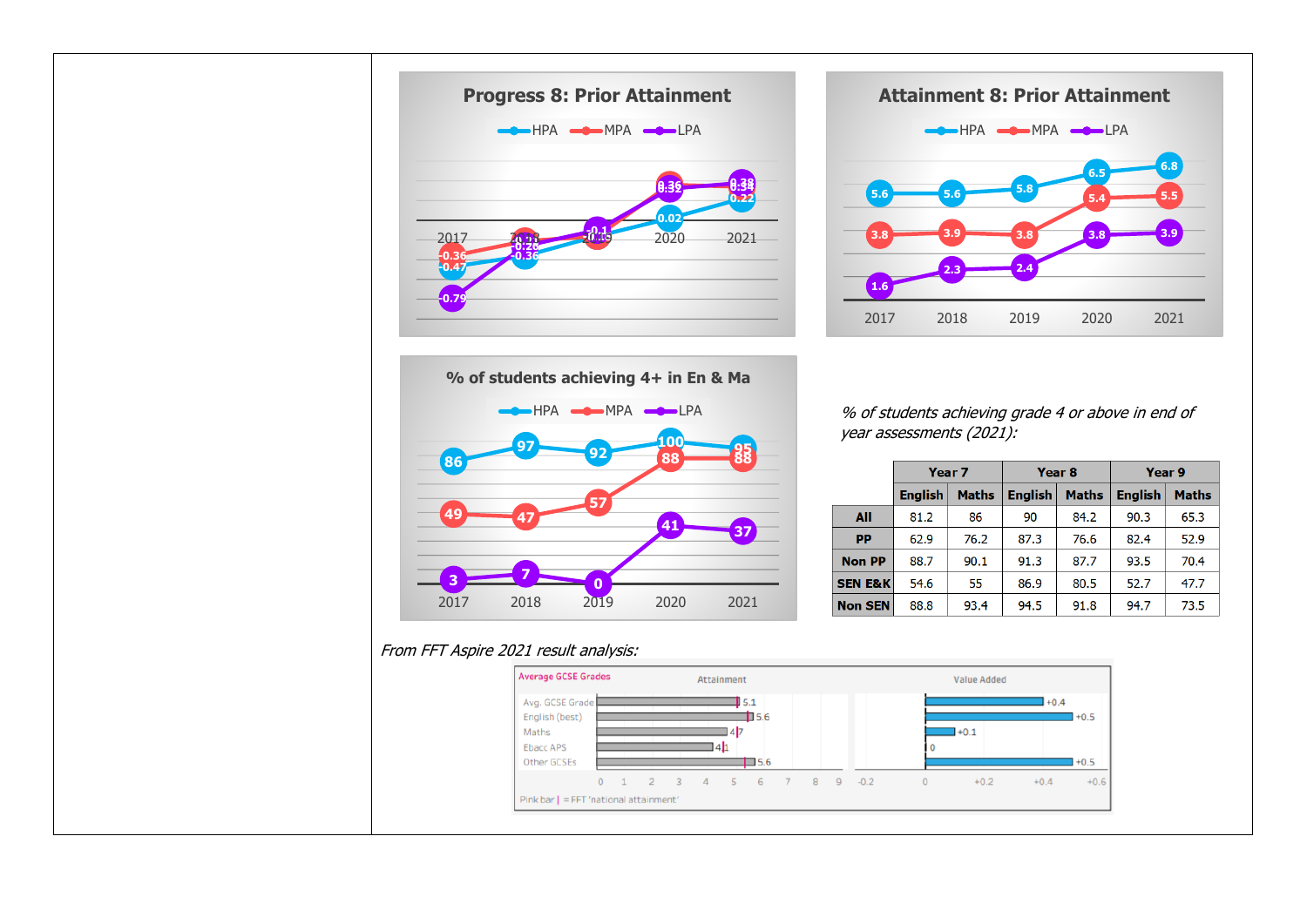





year assessments (2021):

|                    | Year <sub>7</sub>              |      | Year <sub>8</sub>              |      | Year 9         |              |  |
|--------------------|--------------------------------|------|--------------------------------|------|----------------|--------------|--|
|                    | <b>English</b><br><b>Maths</b> |      | <b>English</b><br><b>Maths</b> |      | <b>English</b> | <b>Maths</b> |  |
| All                | 81.2                           | 86   | 90                             | 84.2 | 90.3           | 65.3         |  |
| <b>PP</b>          | 62.9                           | 76.2 | 87.3                           | 76.6 | 82.4           | 52.9         |  |
| <b>Non PP</b>      | 88.7                           | 90.1 | 91.3                           | 87.7 | 93.5           | 70.4         |  |
| <b>SEN E&amp;K</b> | 54.6                           | 55   | 86.9                           | 80.5 | 52.7           | 47.7         |  |
| <b>Non SEN</b>     | 88.8                           | 93.4 | 94.5                           | 91.8 | 94.7           | 73.5         |  |

### From FFT Aspire 2021 result analysis:

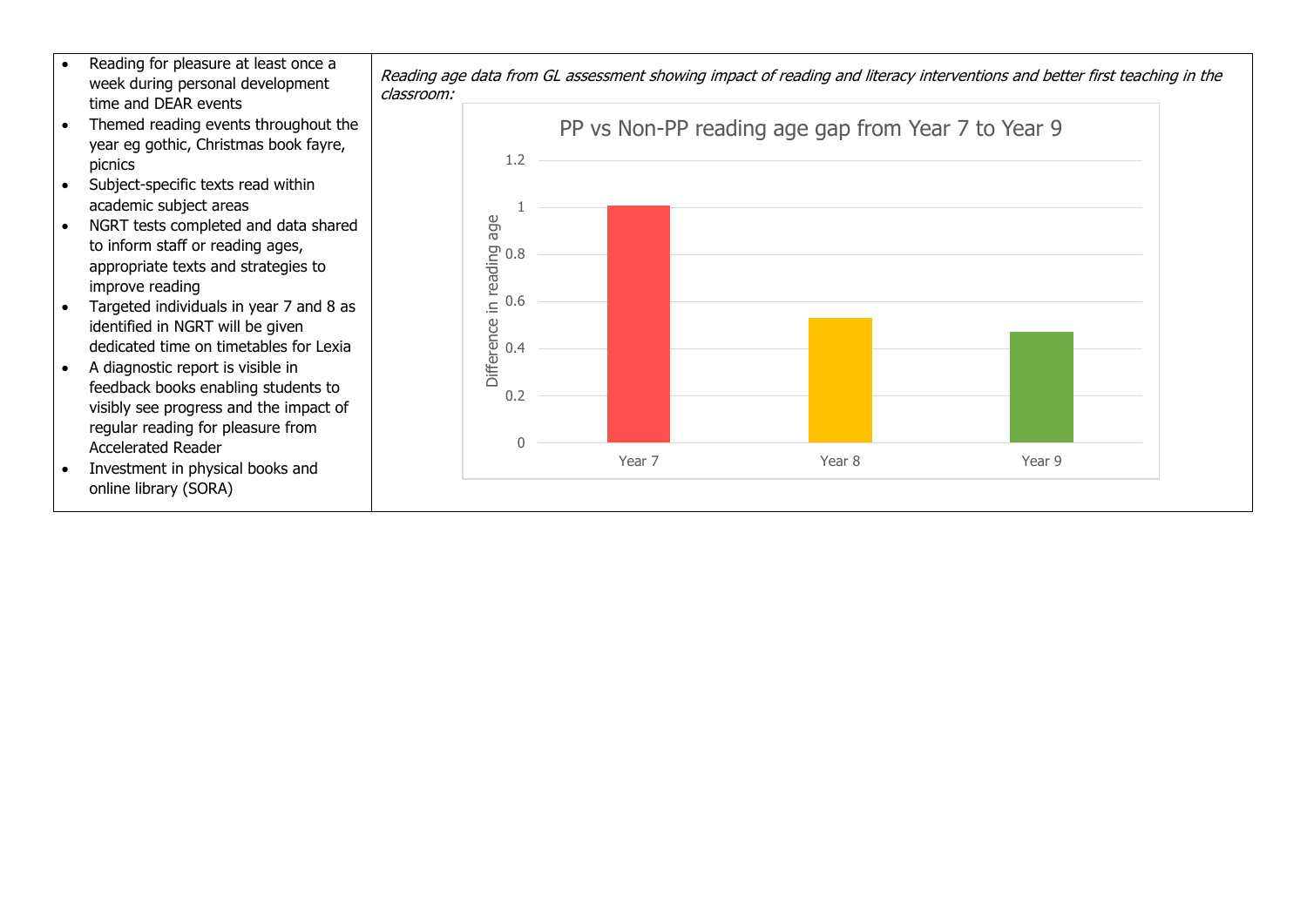- Reading for pleasure at least once a week during personal development time and DEAR events
- Themed reading events throughout the year eg gothic, Christmas book fayre, picnics
- Subject-specific texts read within academic subject areas
- NGRT tests completed and data shared to inform staff or reading ages, appropriate texts and strategies to improve reading
- Targeted individuals in year 7 and 8 as identified in NGRT will be given dedicated time on timetables for Lexia
- A diagnostic report is visible in feedback books enabling students to visibly see progress and the impact of regular reading for pleasure from Accelerated Reader
- Investment in physical books and online library (SORA)



Reading age data from GL assessment showing impact of reading and literacy interventions and better first teaching in the classroom: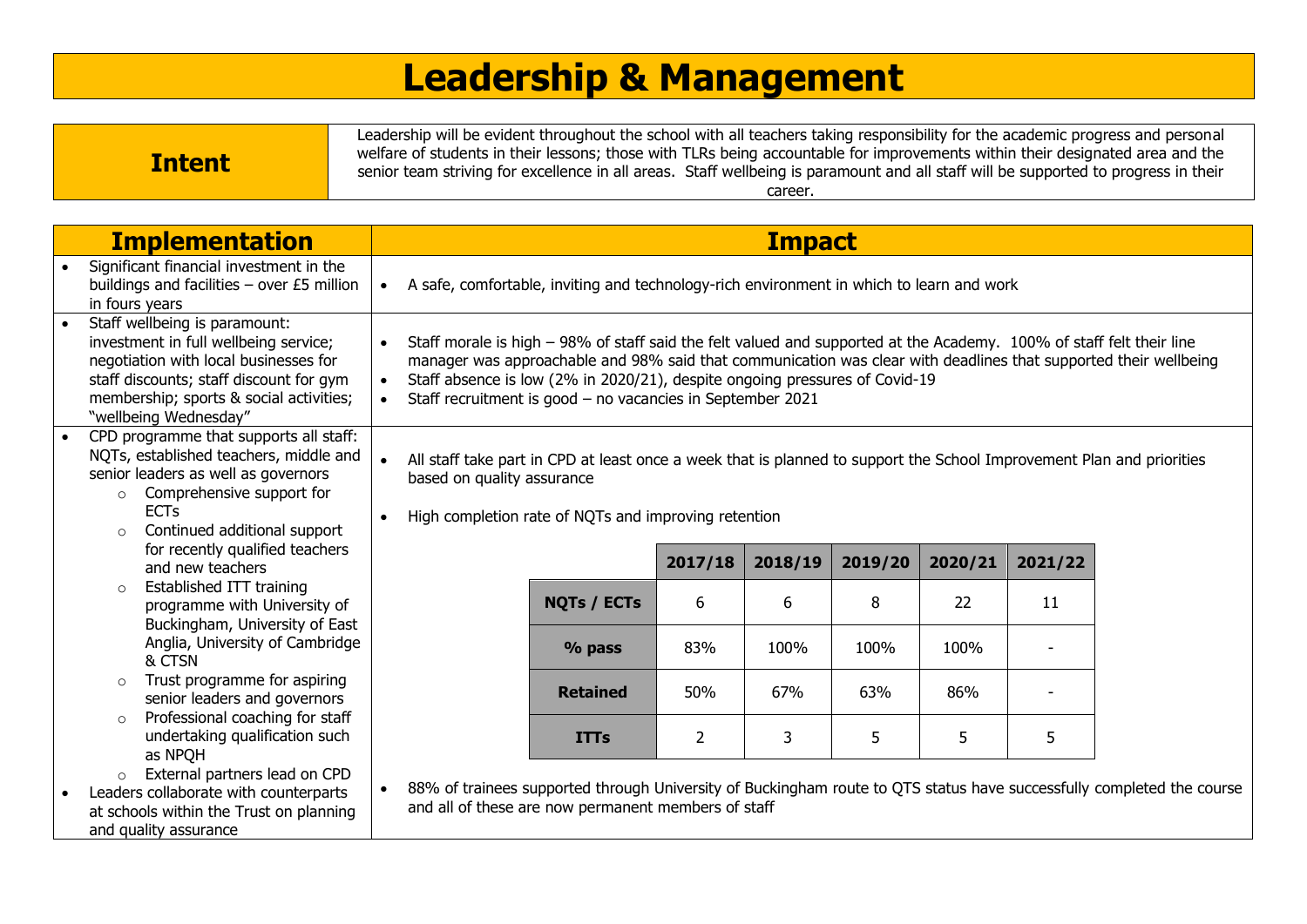# **Leadership & Management**

|               | Leadership will be evident throughout the school with all teachers taking responsibility for the academic progress and personal<br>welfare of students in their lessons; those with TLRs being accountable for improvements within their designated area and the |
|---------------|------------------------------------------------------------------------------------------------------------------------------------------------------------------------------------------------------------------------------------------------------------------|
| <b>Intent</b> | senior team striving for excellence in all areas. Staff wellbeing is paramount and all staff will be supported to progress in their<br>career                                                                                                                    |

|           | <b>Implementation</b>                                                                                                                                                                                                          |                                                      |                                                                                                                                                                                                                                                                                                                                                                                       |                | <b>Impact</b> |         |         |         |                                                                                                                       |
|-----------|--------------------------------------------------------------------------------------------------------------------------------------------------------------------------------------------------------------------------------|------------------------------------------------------|---------------------------------------------------------------------------------------------------------------------------------------------------------------------------------------------------------------------------------------------------------------------------------------------------------------------------------------------------------------------------------------|----------------|---------------|---------|---------|---------|-----------------------------------------------------------------------------------------------------------------------|
| $\bullet$ | Significant financial investment in the<br>buildings and facilities - over £5 million<br>in fours years                                                                                                                        | $\bullet$                                            | A safe, comfortable, inviting and technology-rich environment in which to learn and work                                                                                                                                                                                                                                                                                              |                |               |         |         |         |                                                                                                                       |
|           | Staff wellbeing is paramount:<br>investment in full wellbeing service;<br>negotiation with local businesses for<br>staff discounts; staff discount for gym<br>membership; sports & social activities;<br>"wellbeing Wednesday" | $\bullet$<br>$\bullet$<br>$\bullet$                  | Staff morale is high - 98% of staff said the felt valued and supported at the Academy. 100% of staff felt their line<br>manager was approachable and 98% said that communication was clear with deadlines that supported their wellbeing<br>Staff absence is low (2% in 2020/21), despite ongoing pressures of Covid-19<br>Staff recruitment is good - no vacancies in September 2021 |                |               |         |         |         |                                                                                                                       |
|           | CPD programme that supports all staff:<br>NQTs, established teachers, middle and<br>senior leaders as well as governors<br>Comprehensive support for<br>$\circ$<br><b>ECTs</b><br>Continued additional support<br>$\circ$      | $\bullet$<br>based on quality assurance<br>$\bullet$ | All staff take part in CPD at least once a week that is planned to support the School Improvement Plan and priorities<br>High completion rate of NQTs and improving retention                                                                                                                                                                                                         |                |               |         |         |         |                                                                                                                       |
|           | for recently qualified teachers<br>and new teachers                                                                                                                                                                            |                                                      |                                                                                                                                                                                                                                                                                                                                                                                       | 2017/18        | 2018/19       | 2019/20 | 2020/21 | 2021/22 |                                                                                                                       |
|           | Established ITT training<br>$\circ$<br>programme with University of<br>Buckingham, University of East                                                                                                                          |                                                      | <b>NQTs / ECTs</b>                                                                                                                                                                                                                                                                                                                                                                    | 6              | 6             | 8       | 22      | 11      |                                                                                                                       |
|           | Anglia, University of Cambridge<br>& CTSN                                                                                                                                                                                      |                                                      | % pass                                                                                                                                                                                                                                                                                                                                                                                | 83%            | 100%          | 100%    | 100%    |         |                                                                                                                       |
|           | Trust programme for aspiring<br>$\circ$<br>senior leaders and governors                                                                                                                                                        |                                                      | <b>Retained</b>                                                                                                                                                                                                                                                                                                                                                                       | 50%            | 67%           | 63%     | 86%     |         |                                                                                                                       |
|           | Professional coaching for staff<br>$\circ$<br>undertaking qualification such<br>as NPQH                                                                                                                                        |                                                      | <b>ITTs</b>                                                                                                                                                                                                                                                                                                                                                                           | $\overline{2}$ | 3             | 5       | 5       | 5       |                                                                                                                       |
| $\bullet$ | External partners lead on CPD<br>$\circ$<br>Leaders collaborate with counterparts<br>at schools within the Trust on planning<br>and quality assurance                                                                          | $\bullet$                                            | and all of these are now permanent members of staff                                                                                                                                                                                                                                                                                                                                   |                |               |         |         |         | 88% of trainees supported through University of Buckingham route to QTS status have successfully completed the course |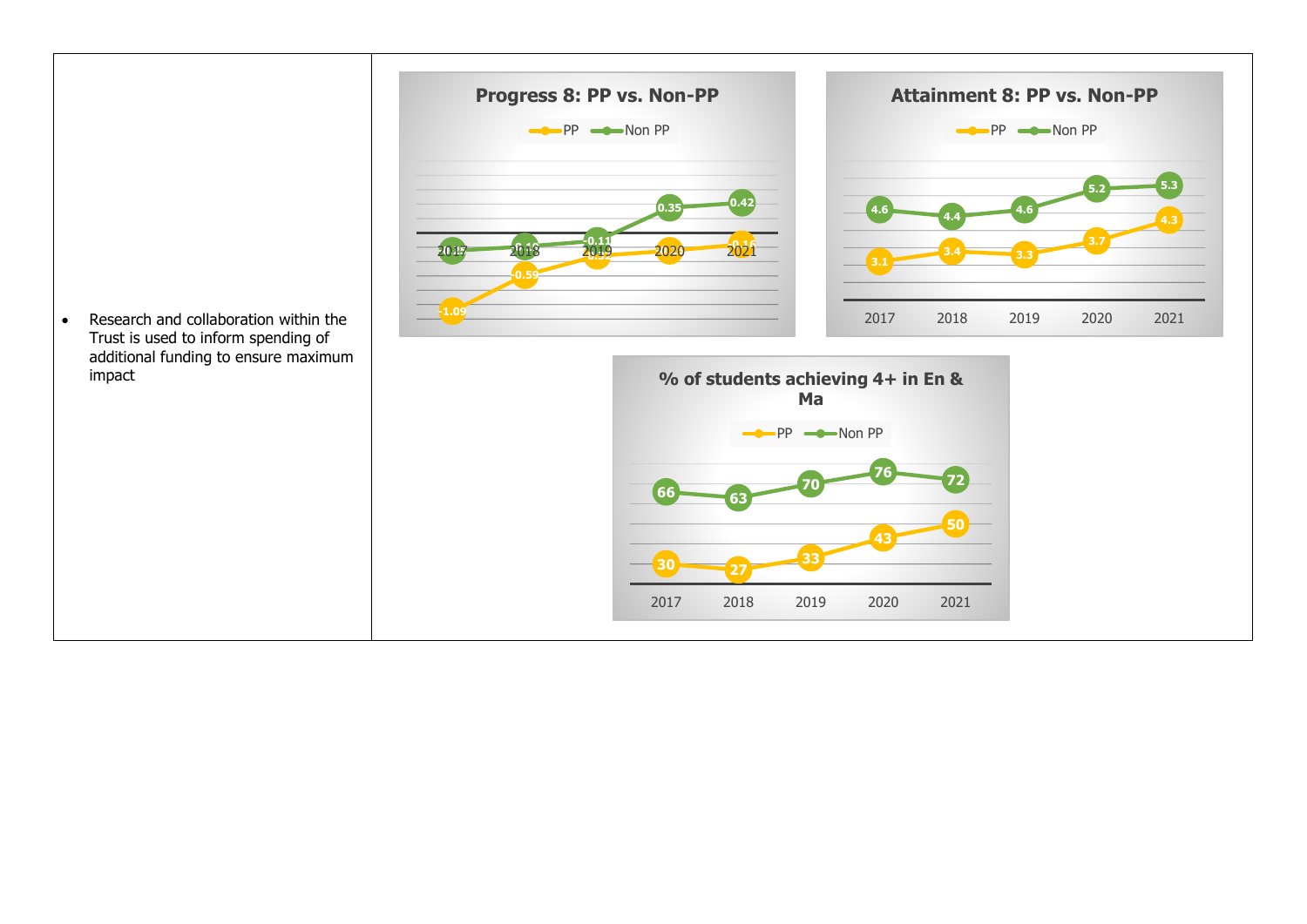• Research and collaboration within the





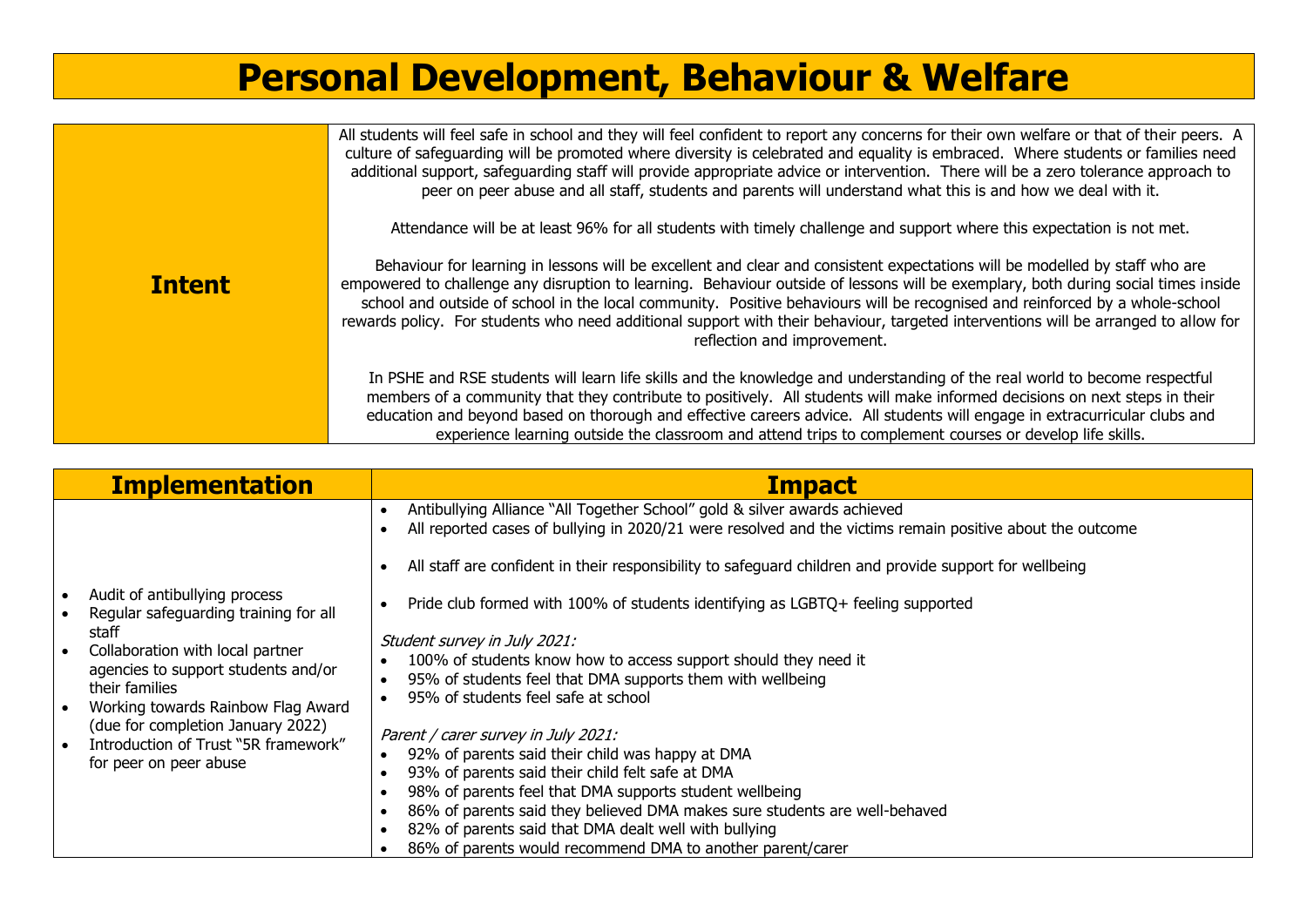## **Personal Development, Behaviour & Welfare**

|               | All students will feel safe in school and they will feel confident to report any concerns for their own welfare or that of their peers. A<br>culture of safeguarding will be promoted where diversity is celebrated and equality is embraced. Where students or families need<br>additional support, safeguarding staff will provide appropriate advice or intervention. There will be a zero tolerance approach to<br>peer on peer abuse and all staff, students and parents will understand what this is and how we deal with it.                                     |
|---------------|-------------------------------------------------------------------------------------------------------------------------------------------------------------------------------------------------------------------------------------------------------------------------------------------------------------------------------------------------------------------------------------------------------------------------------------------------------------------------------------------------------------------------------------------------------------------------|
|               | Attendance will be at least 96% for all students with timely challenge and support where this expectation is not met.                                                                                                                                                                                                                                                                                                                                                                                                                                                   |
| <b>Intent</b> | Behaviour for learning in lessons will be excellent and clear and consistent expectations will be modelled by staff who are<br>empowered to challenge any disruption to learning. Behaviour outside of lessons will be exemplary, both during social times inside<br>school and outside of school in the local community. Positive behaviours will be recognised and reinforced by a whole-school<br>rewards policy. For students who need additional support with their behaviour, targeted interventions will be arranged to allow for<br>reflection and improvement. |
|               | In PSHE and RSE students will learn life skills and the knowledge and understanding of the real world to become respectful<br>members of a community that they contribute to positively. All students will make informed decisions on next steps in their<br>education and beyond based on thorough and effective careers advice. All students will engage in extracurricular clubs and<br>experience learning outside the classroom and attend trips to complement courses or develop life skills.                                                                     |

| <b>Implementation</b>                                                                                                                                                                                                                                                                                                                                            | <b>Impact</b>                                                                                                                                                                                                                                                                                                                                                                                                                                                                                                                                                                                                                                                                                                                                                                                                                                                                                                                                                                                                  |
|------------------------------------------------------------------------------------------------------------------------------------------------------------------------------------------------------------------------------------------------------------------------------------------------------------------------------------------------------------------|----------------------------------------------------------------------------------------------------------------------------------------------------------------------------------------------------------------------------------------------------------------------------------------------------------------------------------------------------------------------------------------------------------------------------------------------------------------------------------------------------------------------------------------------------------------------------------------------------------------------------------------------------------------------------------------------------------------------------------------------------------------------------------------------------------------------------------------------------------------------------------------------------------------------------------------------------------------------------------------------------------------|
| Audit of antibullying process<br>Regular safeguarding training for all<br>staff<br>Collaboration with local partner<br>$\bullet$<br>agencies to support students and/or<br>their families<br>Working towards Rainbow Flag Award<br>$\bullet$<br>(due for completion January 2022)<br>Introduction of Trust "5R framework"<br>$\bullet$<br>for peer on peer abuse | Antibullying Alliance "All Together School" gold & silver awards achieved<br>$\bullet$<br>All reported cases of bullying in 2020/21 were resolved and the victims remain positive about the outcome<br>All staff are confident in their responsibility to safeguard children and provide support for wellbeing<br>Pride club formed with 100% of students identifying as LGBTQ+ feeling supported<br>Student survey in July 2021:<br>100% of students know how to access support should they need it<br>$\bullet$<br>95% of students feel that DMA supports them with wellbeing<br>$\bullet$<br>95% of students feel safe at school<br>Parent / carer survey in July 2021:<br>92% of parents said their child was happy at DMA<br>$\bullet$<br>93% of parents said their child felt safe at DMA<br>$\bullet$<br>98% of parents feel that DMA supports student wellbeing<br>86% of parents said they believed DMA makes sure students are well-behaved<br>82% of parents said that DMA dealt well with bullying |
|                                                                                                                                                                                                                                                                                                                                                                  | 86% of parents would recommend DMA to another parent/carer                                                                                                                                                                                                                                                                                                                                                                                                                                                                                                                                                                                                                                                                                                                                                                                                                                                                                                                                                     |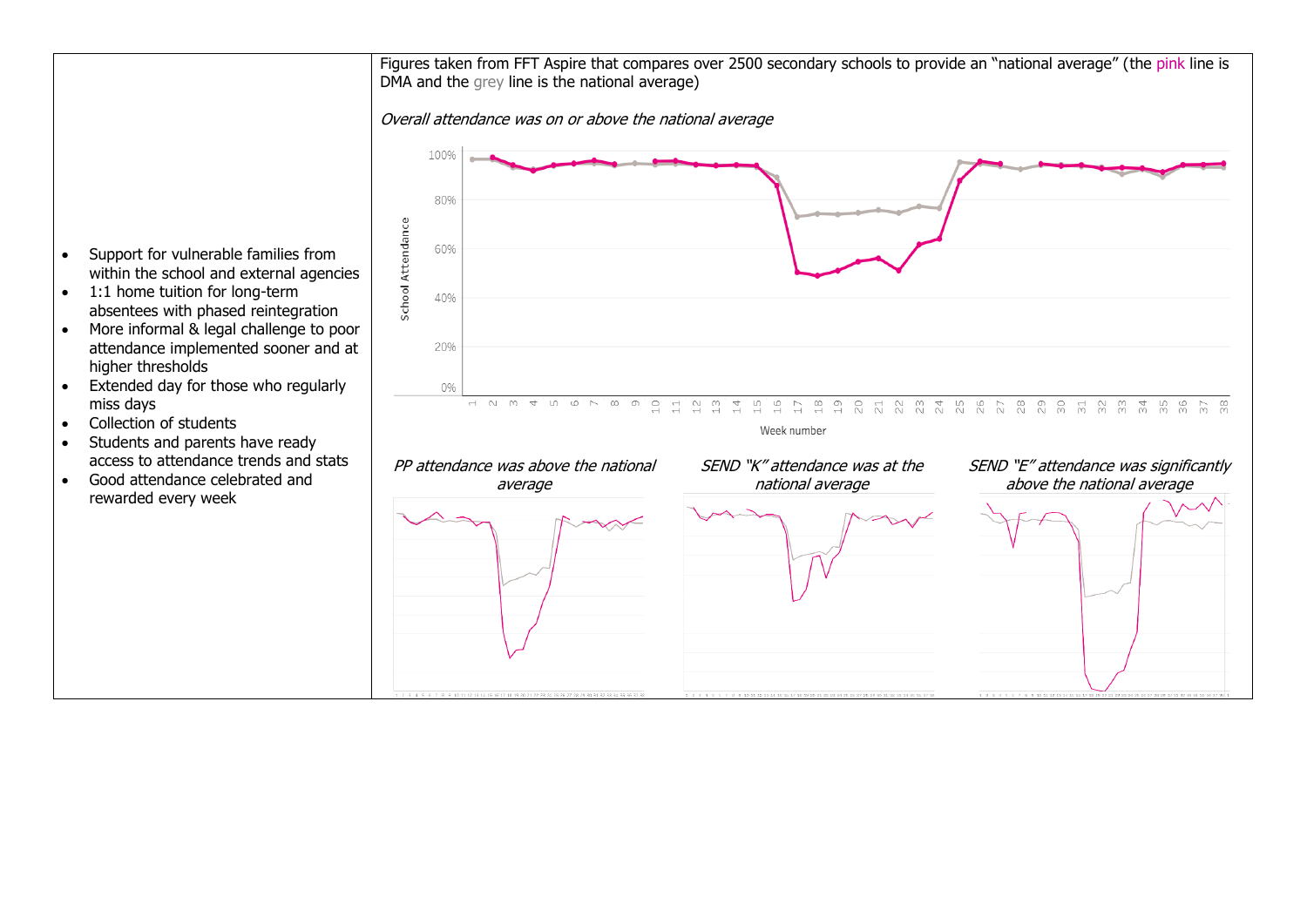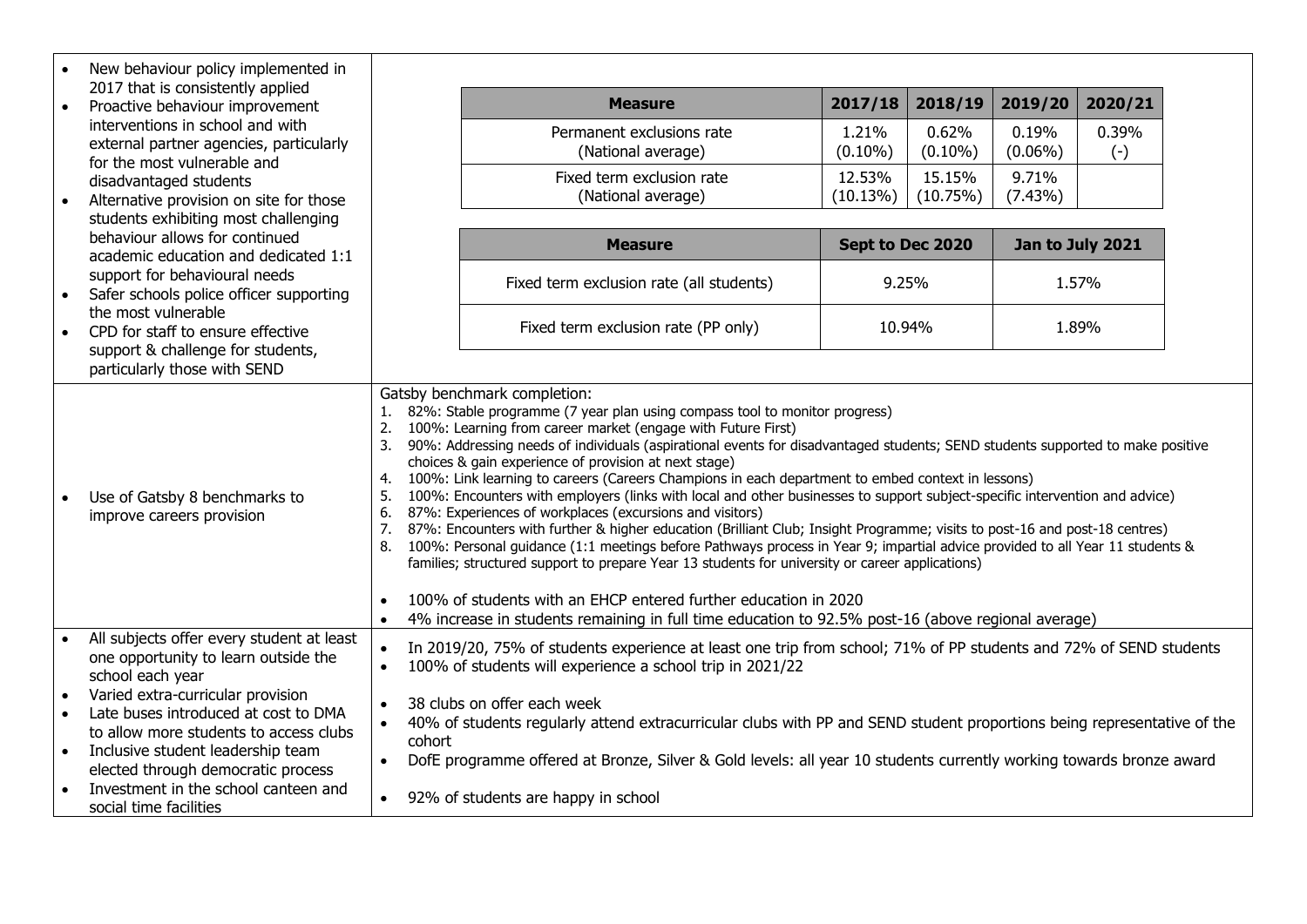|           | New behaviour policy implemented in                                                                                                        |                                                                                                                                                                                                                                                                                                                                                                                                                                                                                                                                                                                                                                                                                                                                                                                                                                                                                                                                                                                                                                                                                                                                                                                                                                                                           |                                                 |                     |                     |                     |                    |  |
|-----------|--------------------------------------------------------------------------------------------------------------------------------------------|---------------------------------------------------------------------------------------------------------------------------------------------------------------------------------------------------------------------------------------------------------------------------------------------------------------------------------------------------------------------------------------------------------------------------------------------------------------------------------------------------------------------------------------------------------------------------------------------------------------------------------------------------------------------------------------------------------------------------------------------------------------------------------------------------------------------------------------------------------------------------------------------------------------------------------------------------------------------------------------------------------------------------------------------------------------------------------------------------------------------------------------------------------------------------------------------------------------------------------------------------------------------------|-------------------------------------------------|---------------------|---------------------|---------------------|--------------------|--|
| $\bullet$ | 2017 that is consistently applied<br>Proactive behaviour improvement                                                                       |                                                                                                                                                                                                                                                                                                                                                                                                                                                                                                                                                                                                                                                                                                                                                                                                                                                                                                                                                                                                                                                                                                                                                                                                                                                                           | <b>Measure</b>                                  | 2017/18             | 2018/19             | 2019/20             | 2020/21            |  |
|           | interventions in school and with<br>external partner agencies, particularly                                                                |                                                                                                                                                                                                                                                                                                                                                                                                                                                                                                                                                                                                                                                                                                                                                                                                                                                                                                                                                                                                                                                                                                                                                                                                                                                                           | Permanent exclusions rate<br>(National average) | 1.21%<br>$(0.10\%)$ | 0.62%<br>$(0.10\%)$ | 0.19%<br>$(0.06\%)$ | 0.39%<br>$(\cdot)$ |  |
|           | for the most vulnerable and<br>disadvantaged students<br>Alternative provision on site for those                                           |                                                                                                                                                                                                                                                                                                                                                                                                                                                                                                                                                                                                                                                                                                                                                                                                                                                                                                                                                                                                                                                                                                                                                                                                                                                                           | Fixed term exclusion rate<br>(National average) | 12.53%<br>(10.13%)  | 15.15%<br>(10.75%)  | 9.71%<br>$(7.43\%)$ |                    |  |
|           | students exhibiting most challenging<br>behaviour allows for continued<br>academic education and dedicated 1:1                             |                                                                                                                                                                                                                                                                                                                                                                                                                                                                                                                                                                                                                                                                                                                                                                                                                                                                                                                                                                                                                                                                                                                                                                                                                                                                           | <b>Measure</b>                                  |                     | Sept to Dec 2020    |                     | Jan to July 2021   |  |
| $\bullet$ | support for behavioural needs<br>Safer schools police officer supporting                                                                   |                                                                                                                                                                                                                                                                                                                                                                                                                                                                                                                                                                                                                                                                                                                                                                                                                                                                                                                                                                                                                                                                                                                                                                                                                                                                           | Fixed term exclusion rate (all students)        |                     | 9.25%               |                     | 1.57%              |  |
| $\bullet$ | the most vulnerable<br>CPD for staff to ensure effective<br>support & challenge for students,                                              |                                                                                                                                                                                                                                                                                                                                                                                                                                                                                                                                                                                                                                                                                                                                                                                                                                                                                                                                                                                                                                                                                                                                                                                                                                                                           | Fixed term exclusion rate (PP only)             |                     | 10.94%              |                     | 1.89%              |  |
|           | particularly those with SEND                                                                                                               |                                                                                                                                                                                                                                                                                                                                                                                                                                                                                                                                                                                                                                                                                                                                                                                                                                                                                                                                                                                                                                                                                                                                                                                                                                                                           |                                                 |                     |                     |                     |                    |  |
|           | Use of Gatsby 8 benchmarks to<br>improve careers provision                                                                                 | Gatsby benchmark completion:<br>1. 82%: Stable programme (7 year plan using compass tool to monitor progress)<br>2.<br>100%: Learning from career market (engage with Future First)<br>90%: Addressing needs of individuals (aspirational events for disadvantaged students; SEND students supported to make positive<br>3.<br>choices & gain experience of provision at next stage)<br>100%: Link learning to careers (Careers Champions in each department to embed context in lessons)<br>4.<br>100%: Encounters with employers (links with local and other businesses to support subject-specific intervention and advice)<br>5.<br>87%: Experiences of workplaces (excursions and visitors)<br>6.<br>7.<br>87%: Encounters with further & higher education (Brilliant Club; Insight Programme; visits to post-16 and post-18 centres)<br>100%: Personal guidance (1:1 meetings before Pathways process in Year 9; impartial advice provided to all Year 11 students &<br>8.<br>families; structured support to prepare Year 13 students for university or career applications)<br>100% of students with an EHCP entered further education in 2020<br>$\bullet$<br>4% increase in students remaining in full time education to 92.5% post-16 (above regional average) |                                                 |                     |                     |                     |                    |  |
|           | All subjects offer every student at least<br>one opportunity to learn outside the<br>school each year<br>Varied extra-curricular provision | In 2019/20, 75% of students experience at least one trip from school; 71% of PP students and 72% of SEND students<br>100% of students will experience a school trip in 2021/22<br>$\bullet$<br>38 clubs on offer each week<br>40% of students regularly attend extracurricular clubs with PP and SEND student proportions being representative of the<br>$\bullet$<br>cohort<br>DofE programme offered at Bronze, Silver & Gold levels: all year 10 students currently working towards bronze award<br>$\bullet$<br>92% of students are happy in school                                                                                                                                                                                                                                                                                                                                                                                                                                                                                                                                                                                                                                                                                                                   |                                                 |                     |                     |                     |                    |  |
| $\bullet$ | Late buses introduced at cost to DMA<br>to allow more students to access clubs<br>Inclusive student leadership team                        |                                                                                                                                                                                                                                                                                                                                                                                                                                                                                                                                                                                                                                                                                                                                                                                                                                                                                                                                                                                                                                                                                                                                                                                                                                                                           |                                                 |                     |                     |                     |                    |  |
|           | elected through democratic process<br>Investment in the school canteen and<br>social time facilities                                       |                                                                                                                                                                                                                                                                                                                                                                                                                                                                                                                                                                                                                                                                                                                                                                                                                                                                                                                                                                                                                                                                                                                                                                                                                                                                           |                                                 |                     |                     |                     |                    |  |